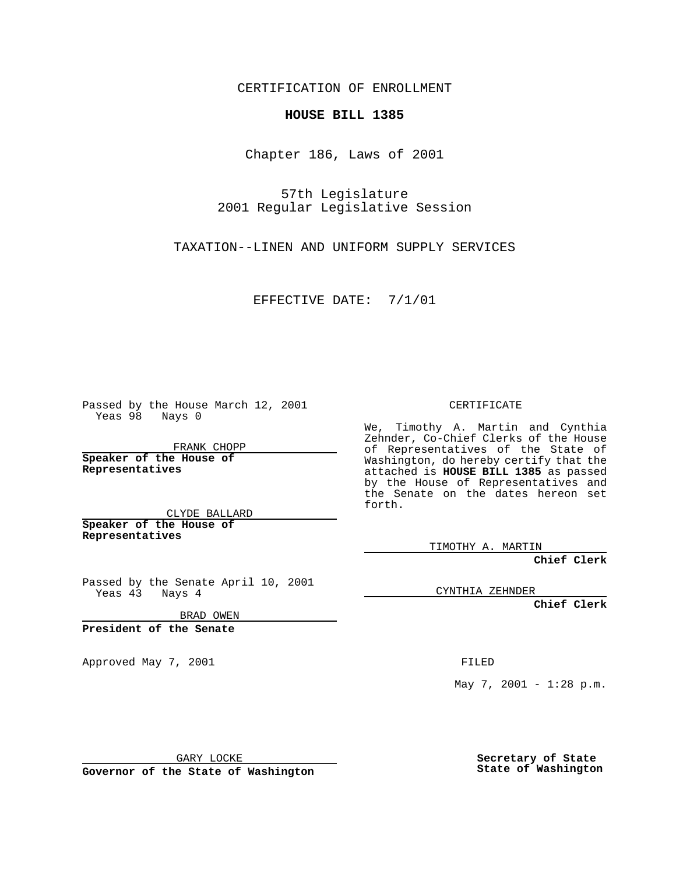CERTIFICATION OF ENROLLMENT

## **HOUSE BILL 1385**

Chapter 186, Laws of 2001

57th Legislature 2001 Regular Legislative Session

TAXATION--LINEN AND UNIFORM SUPPLY SERVICES

EFFECTIVE DATE: 7/1/01

Passed by the House March 12, 2001 Yeas 98 Nays 0

FRANK CHOPP

**Speaker of the House of Representatives**

CLYDE BALLARD **Speaker of the House of**

**Representatives**

Passed by the Senate April 10, 2001 Yeas 43 Nays 4

BRAD OWEN

**President of the Senate**

Approved May 7, 2001 FILED

CERTIFICATE

We, Timothy A. Martin and Cynthia Zehnder, Co-Chief Clerks of the House of Representatives of the State of Washington, do hereby certify that the attached is **HOUSE BILL 1385** as passed by the House of Representatives and the Senate on the dates hereon set forth.

TIMOTHY A. MARTIN

**Chief Clerk**

CYNTHIA ZEHNDER

**Chief Clerk**

May 7, 2001 - 1:28 p.m.

GARY LOCKE

**Governor of the State of Washington**

**Secretary of State State of Washington**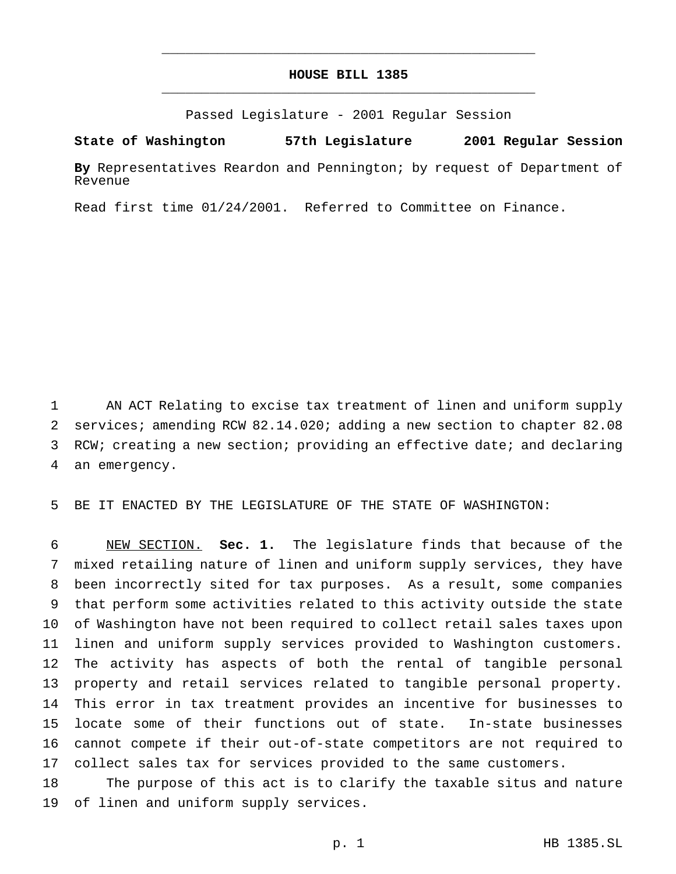## **HOUSE BILL 1385** \_\_\_\_\_\_\_\_\_\_\_\_\_\_\_\_\_\_\_\_\_\_\_\_\_\_\_\_\_\_\_\_\_\_\_\_\_\_\_\_\_\_\_\_\_\_\_

\_\_\_\_\_\_\_\_\_\_\_\_\_\_\_\_\_\_\_\_\_\_\_\_\_\_\_\_\_\_\_\_\_\_\_\_\_\_\_\_\_\_\_\_\_\_\_

Passed Legislature - 2001 Regular Session

**State of Washington 57th Legislature 2001 Regular Session**

**By** Representatives Reardon and Pennington; by request of Department of Revenue

Read first time 01/24/2001. Referred to Committee on Finance.

 AN ACT Relating to excise tax treatment of linen and uniform supply services; amending RCW 82.14.020; adding a new section to chapter 82.08 RCW; creating a new section; providing an effective date; and declaring an emergency.

BE IT ENACTED BY THE LEGISLATURE OF THE STATE OF WASHINGTON:

 NEW SECTION. **Sec. 1.** The legislature finds that because of the mixed retailing nature of linen and uniform supply services, they have been incorrectly sited for tax purposes. As a result, some companies that perform some activities related to this activity outside the state of Washington have not been required to collect retail sales taxes upon linen and uniform supply services provided to Washington customers. The activity has aspects of both the rental of tangible personal property and retail services related to tangible personal property. This error in tax treatment provides an incentive for businesses to locate some of their functions out of state. In-state businesses cannot compete if their out-of-state competitors are not required to collect sales tax for services provided to the same customers.

 The purpose of this act is to clarify the taxable situs and nature of linen and uniform supply services.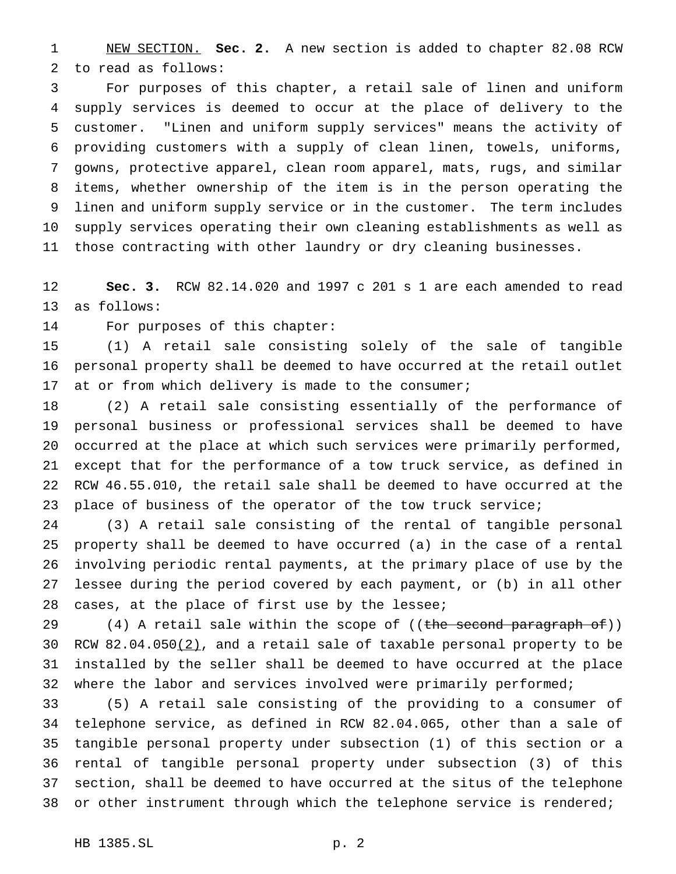NEW SECTION. **Sec. 2.** A new section is added to chapter 82.08 RCW to read as follows:

 For purposes of this chapter, a retail sale of linen and uniform supply services is deemed to occur at the place of delivery to the customer. "Linen and uniform supply services" means the activity of providing customers with a supply of clean linen, towels, uniforms, gowns, protective apparel, clean room apparel, mats, rugs, and similar items, whether ownership of the item is in the person operating the linen and uniform supply service or in the customer. The term includes supply services operating their own cleaning establishments as well as those contracting with other laundry or dry cleaning businesses.

 **Sec. 3.** RCW 82.14.020 and 1997 c 201 s 1 are each amended to read as follows:

For purposes of this chapter:

 (1) A retail sale consisting solely of the sale of tangible personal property shall be deemed to have occurred at the retail outlet at or from which delivery is made to the consumer;

 (2) A retail sale consisting essentially of the performance of personal business or professional services shall be deemed to have occurred at the place at which such services were primarily performed, except that for the performance of a tow truck service, as defined in RCW 46.55.010, the retail sale shall be deemed to have occurred at the 23 place of business of the operator of the tow truck service;

 (3) A retail sale consisting of the rental of tangible personal property shall be deemed to have occurred (a) in the case of a rental involving periodic rental payments, at the primary place of use by the lessee during the period covered by each payment, or (b) in all other 28 cases, at the place of first use by the lessee;

29 (4) A retail sale within the scope of ((the second paragraph of)) 30 RCW 82.04.050(2), and a retail sale of taxable personal property to be installed by the seller shall be deemed to have occurred at the place where the labor and services involved were primarily performed;

 (5) A retail sale consisting of the providing to a consumer of telephone service, as defined in RCW 82.04.065, other than a sale of tangible personal property under subsection (1) of this section or a rental of tangible personal property under subsection (3) of this section, shall be deemed to have occurred at the situs of the telephone 38 or other instrument through which the telephone service is rendered;